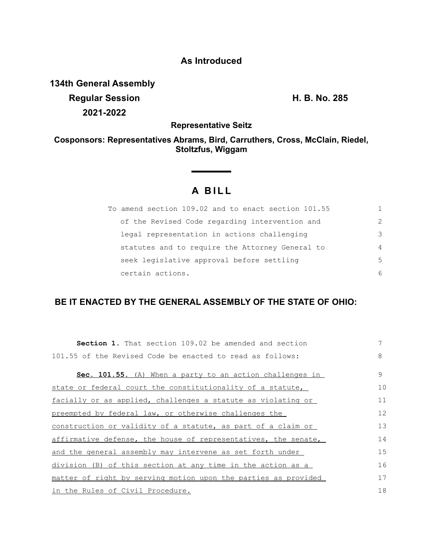## **As Introduced**

**134th General Assembly Regular Session H. B. No. 285 2021-2022**

**Representative Seitz**

### **Cosponsors: Representatives Abrams, Bird, Carruthers, Cross, McClain, Riedel, Stoltzfus, Wiggam**

# **A BILL**

| To amend section 109.02 and to enact section 101.55 |                |
|-----------------------------------------------------|----------------|
| of the Revised Code regarding intervention and      | $\mathcal{P}$  |
| legal representation in actions challenging         | 3              |
| statutes and to require the Attorney General to     | $\overline{4}$ |
| seek legislative approval before settling           | 5              |
| certain actions.                                    | 6              |

## **BE IT ENACTED BY THE GENERAL ASSEMBLY OF THE STATE OF OHIO:**

| <b>Section 1.</b> That section 109.02 be amended and section    | 7  |
|-----------------------------------------------------------------|----|
| 101.55 of the Revised Code be enacted to read as follows:       | 8  |
| <b>Sec. 101.55.</b> (A) When a party to an action challenges in | 9  |
| state or federal court the constitutionality of a statute,      | 10 |
| facially or as applied, challenges a statute as violating or    | 11 |
| preempted by federal law, or otherwise challenges the           | 12 |
| construction or validity of a statute, as part of a claim or    | 13 |
| affirmative defense, the house of representatives, the senate,  | 14 |
| and the general assembly may intervene as set forth under       | 15 |
| division (B) of this section at any time in the action as a     | 16 |
| matter of right by serving motion upon the parties as provided  | 17 |
| in the Rules of Civil Procedure.                                | 18 |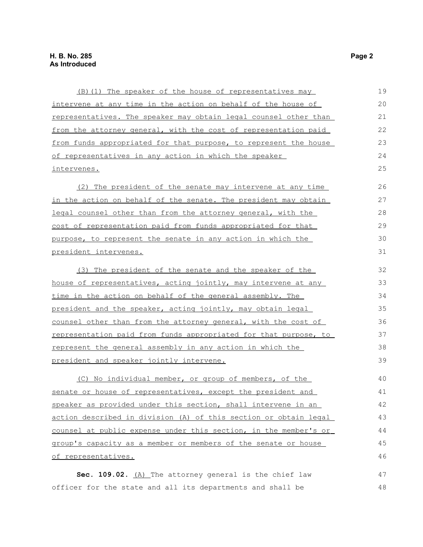| (B) (1) The speaker of the house of representatives may                | 19 |
|------------------------------------------------------------------------|----|
| intervene at any time in the action on behalf of the house of          | 20 |
| representatives. The speaker may obtain legal counsel other than       | 21 |
| from the attorney general, with the cost of representation paid        | 22 |
| from funds appropriated for that purpose, to represent the house       | 23 |
| of representatives in any action in which the speaker                  |    |
| intervenes.                                                            | 25 |
| (2) The president of the senate may intervene at any time              | 26 |
| <u>in the action on behalf of the senate. The president may obtain</u> | 27 |
| legal counsel other than from the attorney general, with the           | 28 |
| cost of representation paid from funds appropriated for that           | 29 |
| purpose, to represent the senate in any action in which the            | 30 |
| president intervenes.                                                  | 31 |
| (3) The president of the senate and the speaker of the                 | 32 |
| house of representatives, acting jointly, may intervene at any         | 33 |
| time in the action on behalf of the general assembly. The              | 34 |
| president and the speaker, acting jointly, may obtain legal            | 35 |
| counsel other than from the attorney general, with the cost of         | 36 |
| representation paid from funds appropriated for that purpose, to       | 37 |
| <u>represent the general assembly in any action in which the</u>       | 38 |
| president and speaker jointly intervene.                               | 39 |
| (C) No individual member, or group of members, of the                  | 40 |
| senate or house of representatives, except the president and           | 41 |
| speaker as provided under this section, shall intervene in an          | 42 |
| action described in division (A) of this section or obtain legal       | 43 |
| counsel at public expense under this section, in the member's or       | 44 |
| group's capacity as a member or members of the senate or house         |    |
| of representatives.                                                    |    |
| Sec. 109.02. $(A)$ The attorney general is the chief law               | 47 |
| officer for the state and all its departments and shall be             | 48 |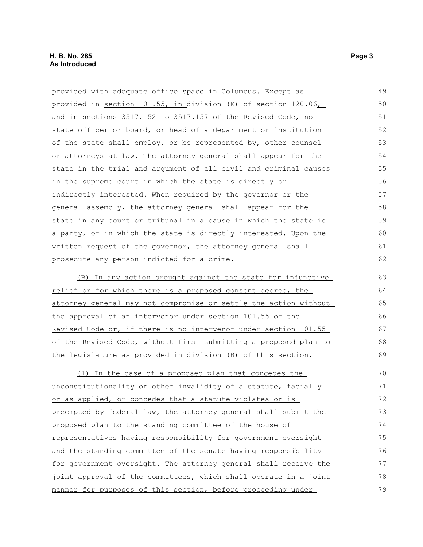provided with adequate office space in Columbus. Except as provided in section 101.55, in division (E) of section 120.06, and in sections 3517.152 to 3517.157 of the Revised Code, no state officer or board, or head of a department or institution of the state shall employ, or be represented by, other counsel or attorneys at law. The attorney general shall appear for the state in the trial and argument of all civil and criminal causes in the supreme court in which the state is directly or indirectly interested. When required by the governor or the general assembly, the attorney general shall appear for the state in any court or tribunal in a cause in which the state is a party, or in which the state is directly interested. Upon the written request of the governor, the attorney general shall prosecute any person indicted for a crime. (B) In any action brought against the state for injunctive relief or for which there is a proposed consent decree, the 49 50 51 52 53 54 55 56 57 58 59 60 61 62 63 64

attorney general may not compromise or settle the action without the approval of an intervenor under section 101.55 of the Revised Code or, if there is no intervenor under section 101.55 of the Revised Code, without first submitting a proposed plan to the legislature as provided in division (B) of this section. 65 66 67 68 69

(1) In the case of a proposed plan that concedes the unconstitutionality or other invalidity of a statute, facially or as applied, or concedes that a statute violates or is preempted by federal law, the attorney general shall submit the proposed plan to the standing committee of the house of representatives having responsibility for government oversight and the standing committee of the senate having responsibility for government oversight. The attorney general shall receive the joint approval of the committees, which shall operate in a joint manner for purposes of this section, before proceeding under 70 71 72 73 74 75 76 77 78 79